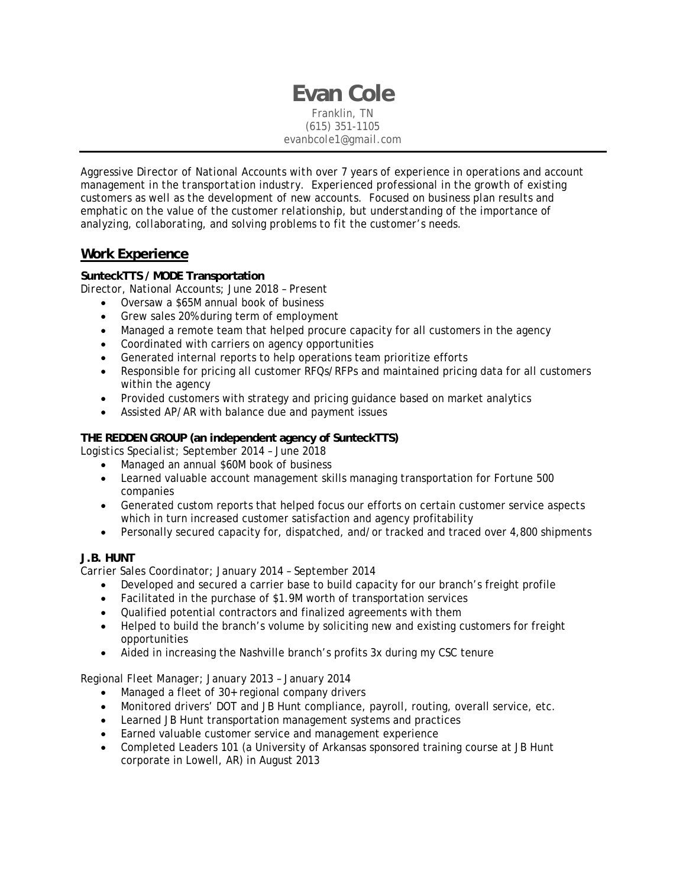**Evan Cole**  Franklin, TN (615) 351-1105 *evanbcole1@gmail.com* 

*Aggressive Director of National Accounts with over 7 years of experience in operations and account management in the transportation industry. Experienced professional in the growth of existing customers as well as the development of new accounts. Focused on business plan results and emphatic on the value of the customer relationship, but understanding of the importance of analyzing, collaborating, and solving problems to fit the customer's needs.* 

# **Work Experience**

# **SunteckTTS / MODE Transportation**

*Director, National Accounts; June 2018 – Present* 

- Oversaw a \$65M annual book of business
- Grew sales 20% during term of employment
- Managed a remote team that helped procure capacity for all customers in the agency
- Coordinated with carriers on agency opportunities
- Generated internal reports to help operations team prioritize efforts
- Responsible for pricing all customer RFQs/RFPs and maintained pricing data for all customers within the agency
- Provided customers with strategy and pricing guidance based on market analytics
- Assisted AP/AR with balance due and payment issues

### **THE REDDEN GROUP (an independent agency of SunteckTTS)**

*Logistics Specialist; September 2014 – June 2018*

- Managed an annual \$60M book of business
- Learned valuable account management skills managing transportation for Fortune 500 companies
- Generated custom reports that helped focus our efforts on certain customer service aspects which in turn increased customer satisfaction and agency profitability
- Personally secured capacity for, dispatched, and/or tracked and traced over 4,800 shipments

#### **J.B. HUNT**

*Carrier Sales Coordinator; January 2014 – September 2014* 

- Developed and secured a carrier base to build capacity for our branch's freight profile
- Facilitated in the purchase of \$1.9M worth of transportation services
- Qualified potential contractors and finalized agreements with them
- Helped to build the branch's volume by soliciting new and existing customers for freight opportunities
- Aided in increasing the Nashville branch's profits 3x during my CSC tenure

#### *Regional Fleet Manager; January 2013 – January 2014*

- Managed a fleet of 30+ regional company drivers
- Monitored drivers' DOT and JB Hunt compliance, payroll, routing, overall service, etc.
- Learned JB Hunt transportation management systems and practices
- Earned valuable customer service and management experience
- Completed Leaders 101 (a University of Arkansas sponsored training course at JB Hunt corporate in Lowell, AR) in August 2013